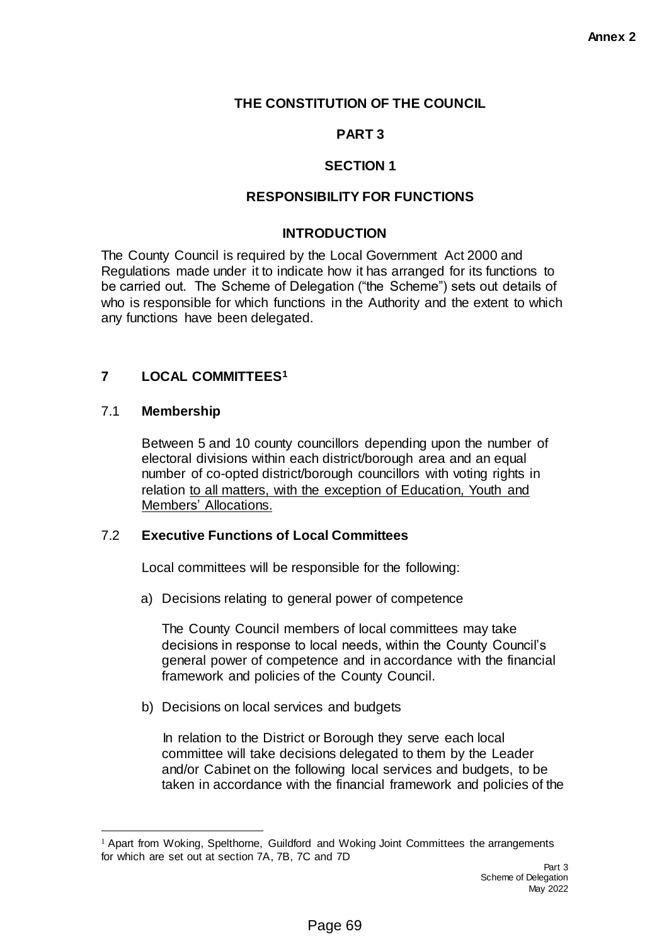## **THE CONSTITUTION OF THE COUNCIL**

# **PART 3**

# **SECTION 1**

### **RESPONSIBILITY FOR FUNCTIONS**

### **INTRODUCTION**

The County Council is required by the Local Government Act 2000 and Regulations made under it to indicate how it has arranged for its functions to be carried out. The Scheme of Delegation ("the Scheme") sets out details of who is responsible for which functions in the Authority and the extent to which any functions have been delegated.

### **7 LOCAL COMMITTEES<sup>1</sup>**

#### 7.1 **Membership**

 $\overline{a}$ 

Between 5 and 10 county councillors depending upon the number of electoral divisions within each district/borough area and an equal number of co-opted district/borough councillors with voting rights in relation to all matters, with the exception of Education, Youth and Members' Allocations.

### 7.2 **Executive Functions of Local Committees**

Local committees will be responsible for the following:

a) Decisions relating to general power of competence

The County Council members of local committees may take decisions in response to local needs, within the County Council's general power of competence and in accordance with the financial framework and policies of the County Council.

b) Decisions on local services and budgets

In relation to the District or Borough they serve each local committee will take decisions delegated to them by the Leader and/or Cabinet on the following local services and budgets, to be taken in accordance with the financial framework and policies of the

 $<sup>1</sup>$  Apart from Woking, Spelthorne, Guildford and Woking Joint Committees the arrangements</sup> for which are set out at section 7A, 7B, 7C and 7D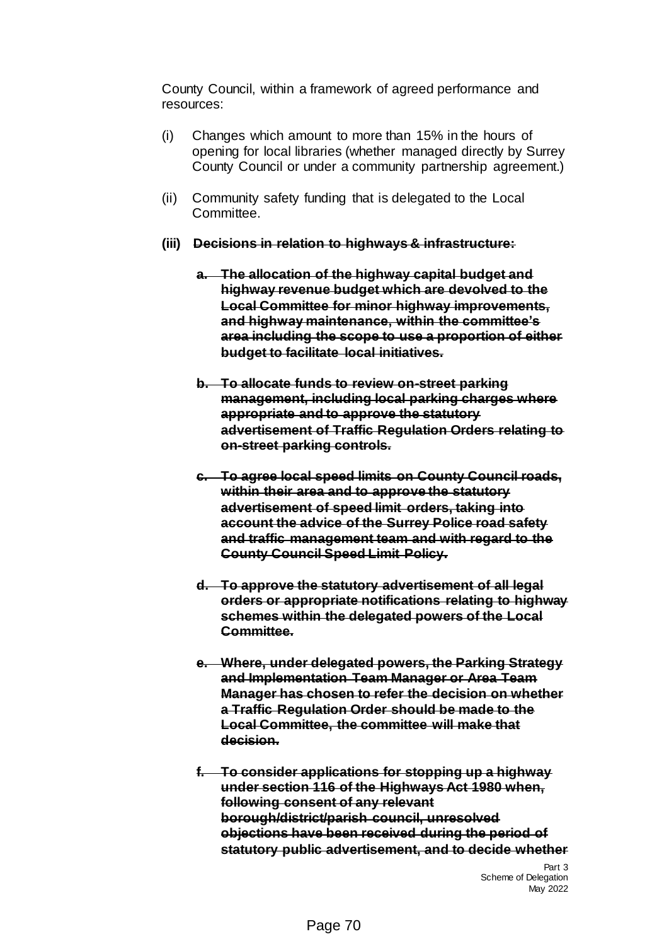County Council, within a framework of agreed performance and resources:

- (i) Changes which amount to more than 15% in the hours of opening for local libraries (whether managed directly by Surrey County Council or under a community partnership agreement.)
- (ii) Community safety funding that is delegated to the Local Committee.
- **(iii) Decisions in relation to highways & infrastructure:** 
	- **a. The allocation of the highway capital budget and highway revenue budget which are devolved to the Local Committee for minor highway improvements, and highway maintenance, within the committee's area including the scope to use a proportion of either budget to facilitate local initiatives.**
	- **b. To allocate funds to review on-street parking management, including local parking charges where appropriate and to approve the statutory advertisement of Traffic Regulation Orders relating to on-street parking controls.**
	- **c. To agree local speed limits on County Council roads, within their area and to approve the statutory advertisement of speed limit orders, taking into account the advice of the Surrey Police road safety and traffic management team and with regard to the County Council Speed Limit Policy.**
	- **d. To approve the statutory advertisement of all legal orders or appropriate notifications relating to highway schemes within the delegated powers of the Local Committee.**
	- **e. Where, under delegated powers, the Parking Strategy and Implementation Team Manager or Area Team Manager has chosen to refer the decision on whether a Traffic Regulation Order should be made to the Local Committee, the committee will make that decision.**
	- **f. To consider applications for stopping up a highway under section 116 of the Highways Act 1980 when, following consent of any relevant borough/district/parish council, unresolved objections have been received during the period of statutory public advertisement, and to decide whether**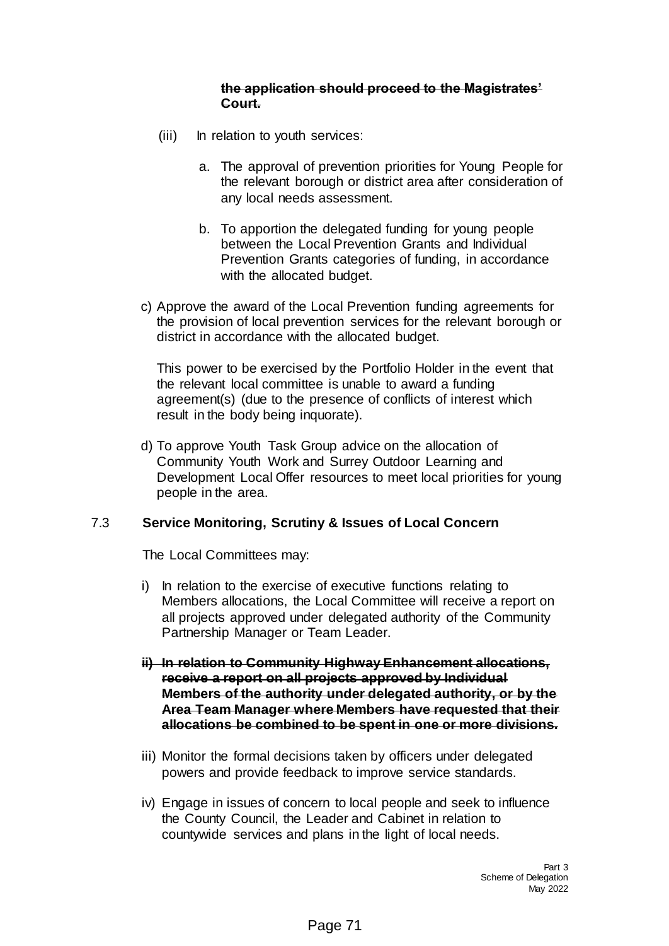#### **the application should proceed to the Magistrates' Court.**

- (iii) In relation to youth services:
	- a. The approval of prevention priorities for Young People for the relevant borough or district area after consideration of any local needs assessment.
	- b. To apportion the delegated funding for young people between the Local Prevention Grants and Individual Prevention Grants categories of funding, in accordance with the allocated budget.
- c) Approve the award of the Local Prevention funding agreements for the provision of local prevention services for the relevant borough or district in accordance with the allocated budget.

This power to be exercised by the Portfolio Holder in the event that the relevant local committee is unable to award a funding agreement(s) (due to the presence of conflicts of interest which result in the body being inquorate).

d) To approve Youth Task Group advice on the allocation of Community Youth Work and Surrey Outdoor Learning and Development Local Offer resources to meet local priorities for young people in the area.

### 7.3 **Service Monitoring, Scrutiny & Issues of Local Concern**

The Local Committees may:

- i) In relation to the exercise of executive functions relating to Members allocations, the Local Committee will receive a report on all projects approved under delegated authority of the Community Partnership Manager or Team Leader.
- **ii) In relation to Community Highway Enhancement allocations, receive a report on all projects approved by Individual Members of the authority under delegated authority, or by the Area Team Manager where Members have requested that their allocations be combined to be spent in one or more divisions.**
- iii) Monitor the formal decisions taken by officers under delegated powers and provide feedback to improve service standards.
- iv) Engage in issues of concern to local people and seek to influence the County Council, the Leader and Cabinet in relation to countywide services and plans in the light of local needs.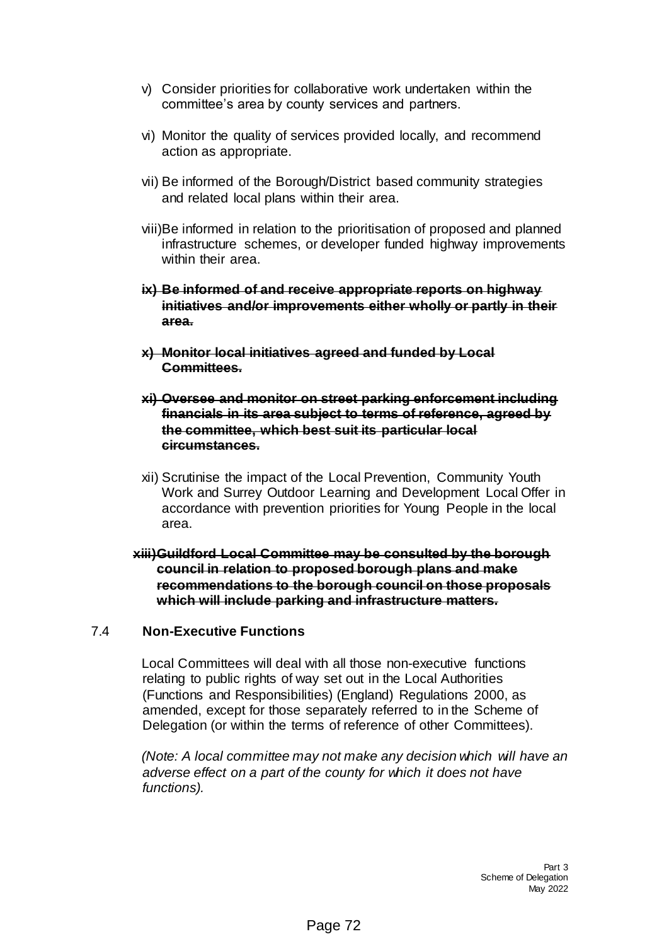- v) Consider priorities for collaborative work undertaken within the committee's area by county services and partners.
- vi) Monitor the quality of services provided locally, and recommend action as appropriate.
- vii) Be informed of the Borough/District based community strategies and related local plans within their area.
- viii)Be informed in relation to the prioritisation of proposed and planned infrastructure schemes, or developer funded highway improvements within their area.
- **ix) Be informed of and receive appropriate reports on highway initiatives and/or improvements either wholly or partly in their area.**
- **x) Monitor local initiatives agreed and funded by Local Committees.**
- **xi) Oversee and monitor on street parking enforcement including financials in its area subject to terms of reference, agreed by the committee, which best suit its particular local circumstances.**
- xii) Scrutinise the impact of the Local Prevention, Community Youth Work and Surrey Outdoor Learning and Development Local Offer in accordance with prevention priorities for Young People in the local area.
- **xiii)Guildford Local Committee may be consulted by the borough council in relation to proposed borough plans and make recommendations to the borough council on those proposals which will include parking and infrastructure matters.**

### 7.4 **Non-Executive Functions**

Local Committees will deal with all those non-executive functions relating to public rights of way set out in the Local Authorities (Functions and Responsibilities) (England) Regulations 2000, as amended, except for those separately referred to in the Scheme of Delegation (or within the terms of reference of other Committees).

*(Note: A local committee may not make any decision which will have an adverse effect on a part of the county for which it does not have functions).*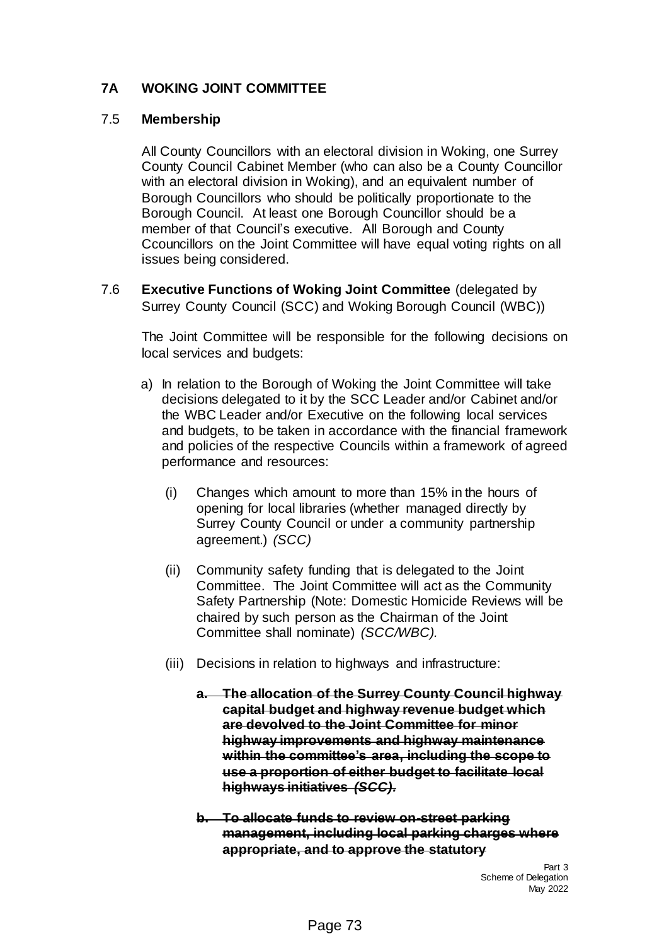## **7A WOKING JOINT COMMITTEE**

### 7.5 **Membership**

All County Councillors with an electoral division in Woking, one Surrey County Council Cabinet Member (who can also be a County Councillor with an electoral division in Woking), and an equivalent number of Borough Councillors who should be politically proportionate to the Borough Council. At least one Borough Councillor should be a member of that Council's executive. All Borough and County Ccouncillors on the Joint Committee will have equal voting rights on all issues being considered.

7.6 **Executive Functions of Woking Joint Committee** (delegated by Surrey County Council (SCC) and Woking Borough Council (WBC))

The Joint Committee will be responsible for the following decisions on local services and budgets:

- a) In relation to the Borough of Woking the Joint Committee will take decisions delegated to it by the SCC Leader and/or Cabinet and/or the WBC Leader and/or Executive on the following local services and budgets, to be taken in accordance with the financial framework and policies of the respective Councils within a framework of agreed performance and resources:
	- (i) Changes which amount to more than 15% in the hours of opening for local libraries (whether managed directly by Surrey County Council or under a community partnership agreement.) *(SCC)*
	- (ii) Community safety funding that is delegated to the Joint Committee. The Joint Committee will act as the Community Safety Partnership (Note: Domestic Homicide Reviews will be chaired by such person as the Chairman of the Joint Committee shall nominate) *(SCC/WBC).*
	- (iii) Decisions in relation to highways and infrastructure:
		- **a. The allocation of the Surrey County Council highway capital budget and highway revenue budget which are devolved to the Joint Committee for minor highway improvements and highway maintenance within the committee's area, including the scope to use a proportion of either budget to facilitate local highways initiatives** *(SCC).*
		- **b. To allocate funds to review on-street parking management, including local parking charges where appropriate, and to approve the statutory**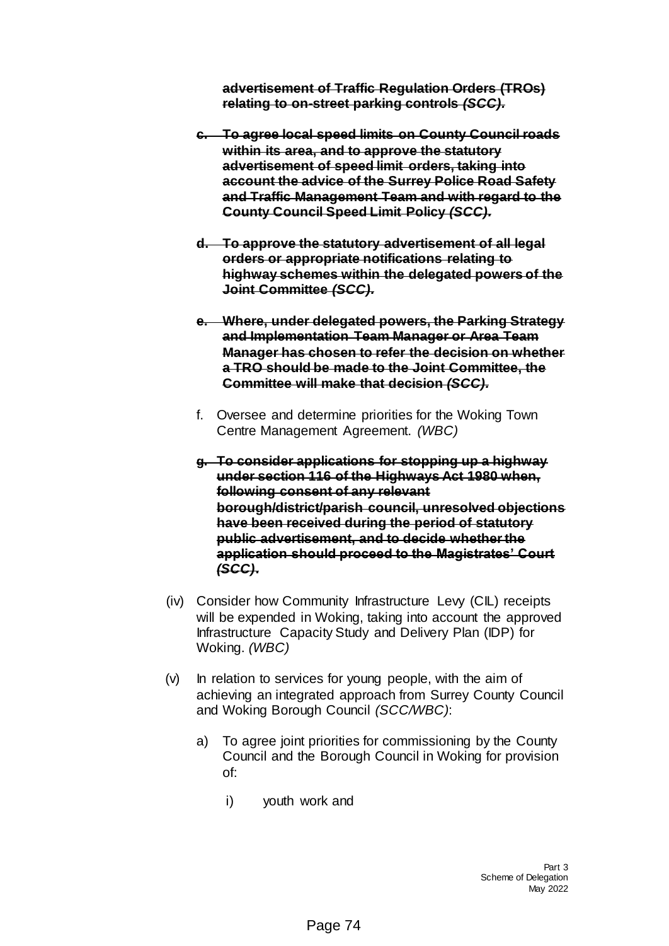**advertisement of Traffic Regulation Orders (TROs) relating to on-street parking controls** *(SCC).*

- **c. To agree local speed limits on County Council roads within its area, and to approve the statutory advertisement of speed limit orders, taking into account the advice of the Surrey Police Road Safety and Traffic Management Team and with regard to the County Council Speed Limit Policy** *(SCC).*
- **d. To approve the statutory advertisement of all legal orders or appropriate notifications relating to highway schemes within the delegated powers of the Joint Committee** *(SCC).*
- **e. Where, under delegated powers, the Parking Strategy and Implementation Team Manager or Area Team Manager has chosen to refer the decision on whether a TRO should be made to the Joint Committee, the Committee will make that decision** *(SCC).*
- f. Oversee and determine priorities for the Woking Town Centre Management Agreement. *(WBC)*
- **g. To consider applications for stopping up a highway under section 116 of the Highways Act 1980 when, following consent of any relevant borough/district/parish council, unresolved objections have been received during the period of statutory public advertisement, and to decide whether the application should proceed to the Magistrates' Court**  *(SCC)***.**
- (iv) Consider how Community Infrastructure Levy (CIL) receipts will be expended in Woking, taking into account the approved Infrastructure Capacity Study and Delivery Plan (IDP) for Woking. *(WBC)*
- (v) In relation to services for young people, with the aim of achieving an integrated approach from Surrey County Council and Woking Borough Council *(SCC/WBC)*:
	- a) To agree joint priorities for commissioning by the County Council and the Borough Council in Woking for provision of:
		- i) youth work and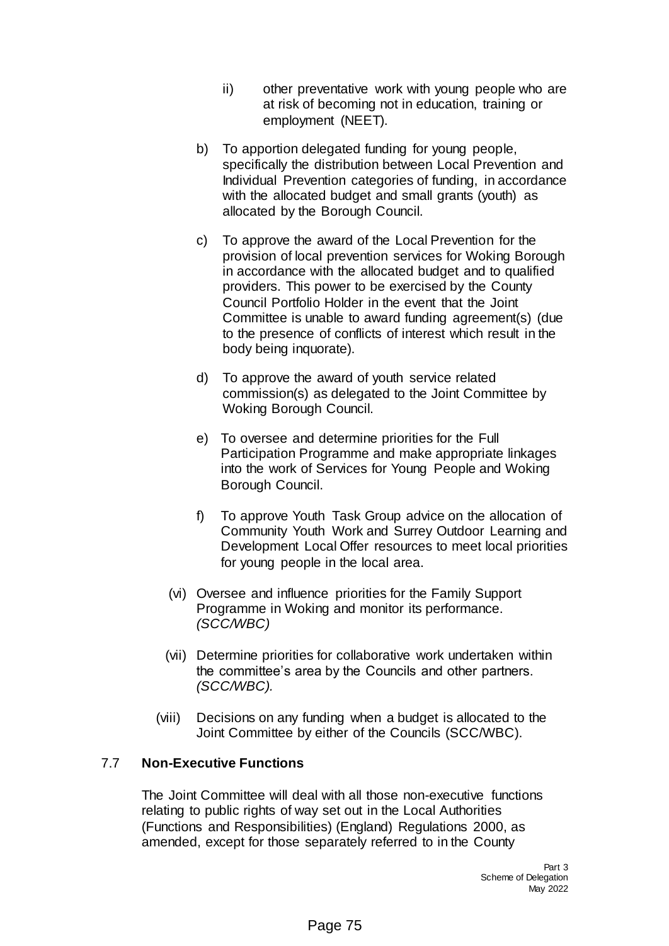- ii) other preventative work with young people who are at risk of becoming not in education, training or employment (NEET).
- b) To apportion delegated funding for young people, specifically the distribution between Local Prevention and Individual Prevention categories of funding, in accordance with the allocated budget and small grants (youth) as allocated by the Borough Council.
- c) To approve the award of the Local Prevention for the provision of local prevention services for Woking Borough in accordance with the allocated budget and to qualified providers. This power to be exercised by the County Council Portfolio Holder in the event that the Joint Committee is unable to award funding agreement(s) (due to the presence of conflicts of interest which result in the body being inquorate).
- d) To approve the award of youth service related commission(s) as delegated to the Joint Committee by Woking Borough Council.
- e) To oversee and determine priorities for the Full Participation Programme and make appropriate linkages into the work of Services for Young People and Woking Borough Council.
- f) To approve Youth Task Group advice on the allocation of Community Youth Work and Surrey Outdoor Learning and Development Local Offer resources to meet local priorities for young people in the local area.
- (vi) Oversee and influence priorities for the Family Support Programme in Woking and monitor its performance. *(SCC/WBC)*
- (vii) Determine priorities for collaborative work undertaken within the committee's area by the Councils and other partners. *(SCC/WBC).*
- (viii) Decisions on any funding when a budget is allocated to the Joint Committee by either of the Councils (SCC/WBC).

## 7.7 **Non-Executive Functions**

The Joint Committee will deal with all those non-executive functions relating to public rights of way set out in the Local Authorities (Functions and Responsibilities) (England) Regulations 2000, as amended, except for those separately referred to in the County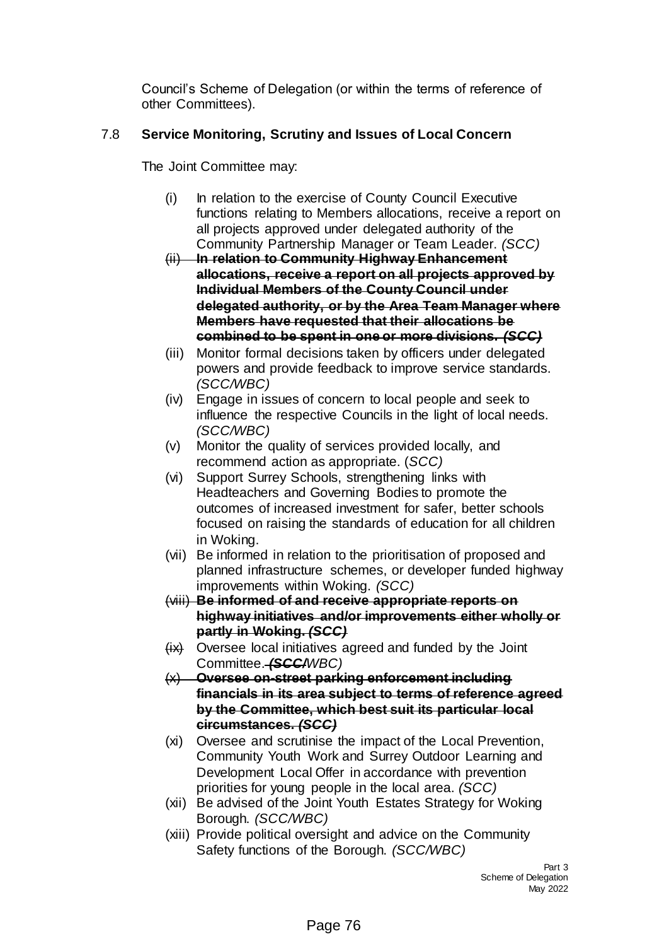Council's Scheme of Delegation (or within the terms of reference of other Committees).

# 7.8 **Service Monitoring, Scrutiny and Issues of Local Concern**

The Joint Committee may:

- (i) In relation to the exercise of County Council Executive functions relating to Members allocations, receive a report on all projects approved under delegated authority of the Community Partnership Manager or Team Leader. *(SCC)*
- (ii) **In relation to Community Highway Enhancement allocations, receive a report on all projects approved by Individual Members of the County Council under delegated authority, or by the Area Team Manager where Members have requested that their allocations be combined to be spent in one or more divisions.** *(SCC)*
- (iii) Monitor formal decisions taken by officers under delegated powers and provide feedback to improve service standards. *(SCC/WBC)*
- (iv) Engage in issues of concern to local people and seek to influence the respective Councils in the light of local needs. *(SCC/WBC)*
- (v) Monitor the quality of services provided locally, and recommend action as appropriate. (*SCC)*
- (vi) Support Surrey Schools, strengthening links with Headteachers and Governing Bodies to promote the outcomes of increased investment for safer, better schools focused on raising the standards of education for all children in Woking.
- (vii) Be informed in relation to the prioritisation of proposed and planned infrastructure schemes, or developer funded highway improvements within Woking. *(SCC)*
- (viii) **Be informed of and receive appropriate reports on highway initiatives and/or improvements either wholly or partly in Woking.** *(SCC)*
- $(ix)$  Oversee local initiatives agreed and funded by the Joint Committee. *(SCC/WBC)*
- (x) **Oversee on-street parking enforcement including financials in its area subject to terms of reference agreed by the Committee, which best suit its particular local circumstances.** *(SCC)*
- (xi) Oversee and scrutinise the impact of the Local Prevention, Community Youth Work and Surrey Outdoor Learning and Development Local Offer in accordance with prevention priorities for young people in the local area. *(SCC)*
- (xii) Be advised of the Joint Youth Estates Strategy for Woking Borough. *(SCC/WBC)*
- (xiii) Provide political oversight and advice on the Community Safety functions of the Borough. *(SCC/WBC)*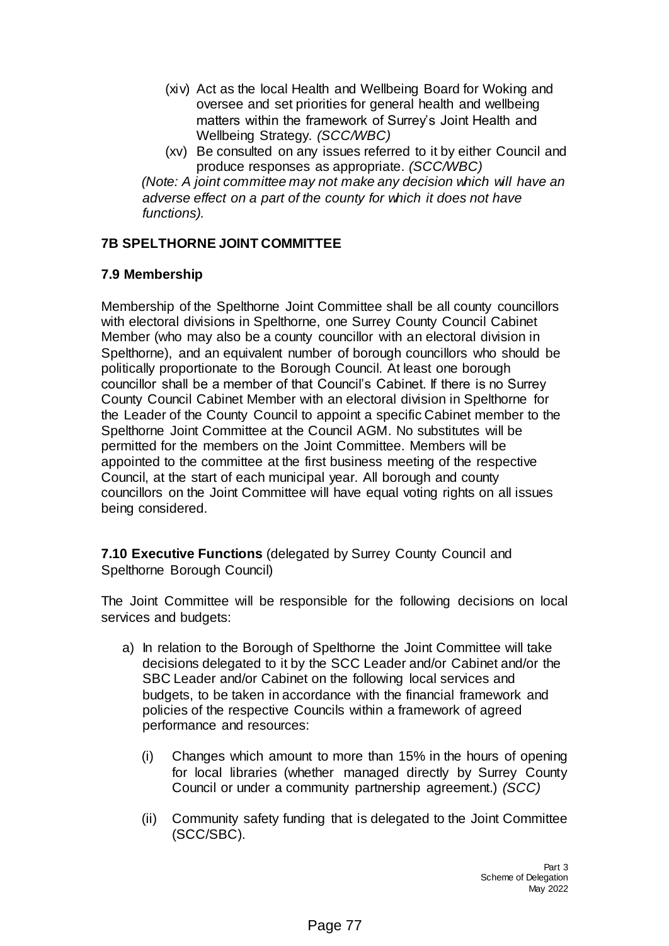- (xiv) Act as the local Health and Wellbeing Board for Woking and oversee and set priorities for general health and wellbeing matters within the framework of Surrey's Joint Health and Wellbeing Strategy. *(SCC/WBC)*
- (xv) Be consulted on any issues referred to it by either Council and produce responses as appropriate. *(SCC/WBC)*

*(Note: A joint committee may not make any decision which will have an adverse effect on a part of the county for which it does not have functions).*

## **7B SPELTHORNE JOINT COMMITTEE**

## **7.9 Membership**

Membership of the Spelthorne Joint Committee shall be all county councillors with electoral divisions in Spelthorne, one Surrey County Council Cabinet Member (who may also be a county councillor with an electoral division in Spelthorne), and an equivalent number of borough councillors who should be politically proportionate to the Borough Council. At least one borough councillor shall be a member of that Council's Cabinet. If there is no Surrey County Council Cabinet Member with an electoral division in Spelthorne for the Leader of the County Council to appoint a specific Cabinet member to the Spelthorne Joint Committee at the Council AGM. No substitutes will be permitted for the members on the Joint Committee. Members will be appointed to the committee at the first business meeting of the respective Council, at the start of each municipal year. All borough and county councillors on the Joint Committee will have equal voting rights on all issues being considered.

**7.10 Executive Functions** (delegated by Surrey County Council and Spelthorne Borough Council)

The Joint Committee will be responsible for the following decisions on local services and budgets:

- a) In relation to the Borough of Spelthorne the Joint Committee will take decisions delegated to it by the SCC Leader and/or Cabinet and/or the SBC Leader and/or Cabinet on the following local services and budgets, to be taken in accordance with the financial framework and policies of the respective Councils within a framework of agreed performance and resources:
	- (i) Changes which amount to more than 15% in the hours of opening for local libraries (whether managed directly by Surrey County Council or under a community partnership agreement.) *(SCC)*
	- (ii) Community safety funding that is delegated to the Joint Committee (SCC/SBC).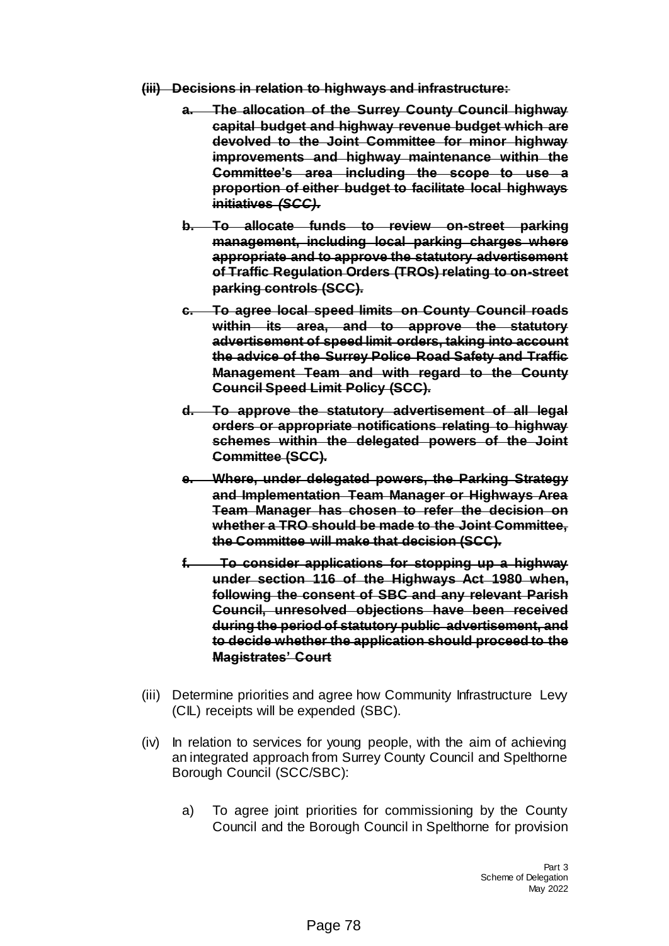- **(iii) Decisions in relation to highways and infrastructure:**
	- **a. The allocation of the Surrey County Council highway capital budget and highway revenue budget which are devolved to the Joint Committee for minor highway improvements and highway maintenance within the Committee's area including the scope to use a proportion of either budget to facilitate local highways initiatives** *(SCC).*
	- **b. To allocate funds to review on-street parking management, including local parking charges where appropriate and to approve the statutory advertisement of Traffic Regulation Orders (TROs) relating to on-street parking controls (SCC).**
	- **c. To agree local speed limits on County Council roads within its area, and to approve the statutory advertisement of speed limit orders, taking into account the advice of the Surrey Police Road Safety and Traffic Management Team and with regard to the County Council Speed Limit Policy (SCC).**
	- **d. To approve the statutory advertisement of all legal orders or appropriate notifications relating to highway schemes within the delegated powers of the Joint Committee (SCC).**
	- **e. Where, under delegated powers, the Parking Strategy and Implementation Team Manager or Highways Area Team Manager has chosen to refer the decision on whether a TRO should be made to the Joint Committee, the Committee will make that decision (SCC).**
	- **f. To consider applications for stopping up a highway under section 116 of the Highways Act 1980 when, following the consent of SBC and any relevant Parish Council, unresolved objections have been received during the period of statutory public advertisement, and to decide whether the application should proceed to the Magistrates' Court**
- (iii) Determine priorities and agree how Community Infrastructure Levy (CIL) receipts will be expended (SBC).
- (iv) In relation to services for young people, with the aim of achieving an integrated approach from Surrey County Council and Spelthorne Borough Council (SCC/SBC):
	- a) To agree joint priorities for commissioning by the County Council and the Borough Council in Spelthorne for provision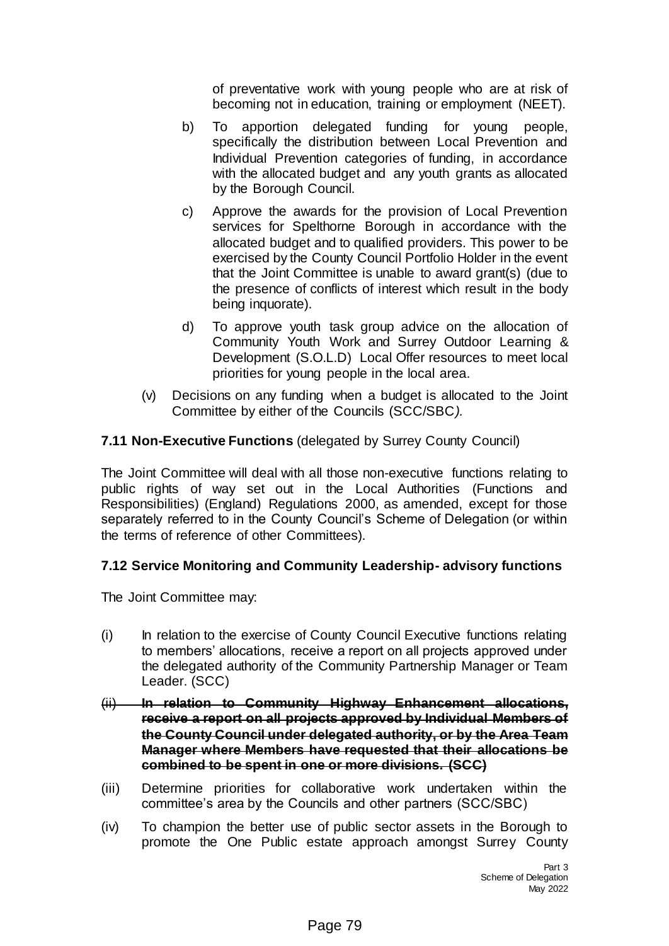of preventative work with young people who are at risk of becoming not in education, training or employment (NEET).

- b) To apportion delegated funding for young people, specifically the distribution between Local Prevention and Individual Prevention categories of funding, in accordance with the allocated budget and any youth grants as allocated by the Borough Council.
- c) Approve the awards for the provision of Local Prevention services for Spelthorne Borough in accordance with the allocated budget and to qualified providers. This power to be exercised by the County Council Portfolio Holder in the event that the Joint Committee is unable to award grant(s) (due to the presence of conflicts of interest which result in the body being inquorate).
- d) To approve youth task group advice on the allocation of Community Youth Work and Surrey Outdoor Learning & Development (S.O.L.D) Local Offer resources to meet local priorities for young people in the local area.
- (v) Decisions on any funding when a budget is allocated to the Joint Committee by either of the Councils (SCC/SBC*).*

# **7.11 Non-Executive Functions** (delegated by Surrey County Council)

The Joint Committee will deal with all those non-executive functions relating to public rights of way set out in the Local Authorities (Functions and Responsibilities) (England) Regulations 2000, as amended, except for those separately referred to in the County Council's Scheme of Delegation (or within the terms of reference of other Committees).

## **7.12 Service Monitoring and Community Leadership- advisory functions**

The Joint Committee may:

- (i) In relation to the exercise of County Council Executive functions relating to members' allocations, receive a report on all projects approved under the delegated authority of the Community Partnership Manager or Team Leader. (SCC)
- (ii) **In relation to Community Highway Enhancement allocations, receive a report on all projects approved by Individual Members of the County Council under delegated authority, or by the Area Team Manager where Members have requested that their allocations be combined to be spent in one or more divisions. (SCC)**
- (iii) Determine priorities for collaborative work undertaken within the committee's area by the Councils and other partners (SCC/SBC)
- (iv) To champion the better use of public sector assets in the Borough to promote the One Public estate approach amongst Surrey County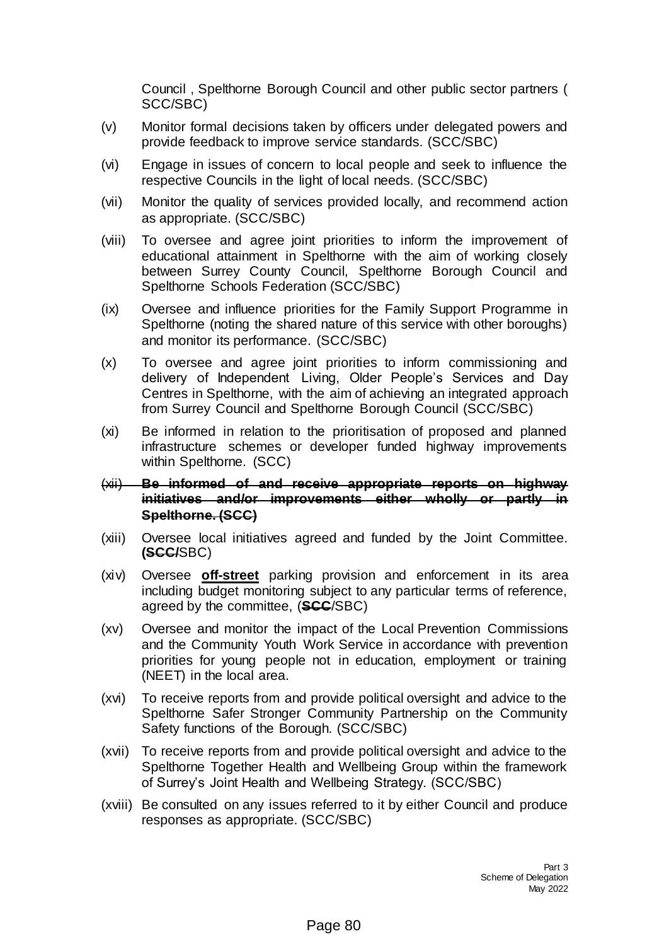Council , Spelthorne Borough Council and other public sector partners ( SCC/SBC)

- (v) Monitor formal decisions taken by officers under delegated powers and provide feedback to improve service standards. (SCC/SBC)
- (vi) Engage in issues of concern to local people and seek to influence the respective Councils in the light of local needs. (SCC/SBC)
- (vii) Monitor the quality of services provided locally, and recommend action as appropriate. (SCC/SBC)
- (viii) To oversee and agree joint priorities to inform the improvement of educational attainment in Spelthorne with the aim of working closely between Surrey County Council, Spelthorne Borough Council and Spelthorne Schools Federation (SCC/SBC)
- (ix) Oversee and influence priorities for the Family Support Programme in Spelthorne (noting the shared nature of this service with other boroughs) and monitor its performance. (SCC/SBC)
- (x) To oversee and agree joint priorities to inform commissioning and delivery of Independent Living, Older People's Services and Day Centres in Spelthorne, with the aim of achieving an integrated approach from Surrey Council and Spelthorne Borough Council (SCC/SBC)
- (xi) Be informed in relation to the prioritisation of proposed and planned infrastructure schemes or developer funded highway improvements within Spelthorne. (SCC)
- (xii) **Be informed of and receive appropriate reports on highway initiatives and/or improvements either wholly or partly in Spelthorne. (SCC)**
- (xiii) Oversee local initiatives agreed and funded by the Joint Committee. **(SCC/**SBC)
- (xiv) Oversee **off-street** parking provision and enforcement in its area including budget monitoring subject to any particular terms of reference, agreed by the committee, (**SCC**/SBC)
- (xv) Oversee and monitor the impact of the Local Prevention Commissions and the Community Youth Work Service in accordance with prevention priorities for young people not in education, employment or training (NEET) in the local area.
- (xvi) To receive reports from and provide political oversight and advice to the Spelthorne Safer Stronger Community Partnership on the Community Safety functions of the Borough. (SCC/SBC)
- (xvii) To receive reports from and provide political oversight and advice to the Spelthorne Together Health and Wellbeing Group within the framework of Surrey's Joint Health and Wellbeing Strategy. (SCC/SBC)
- (xviii) Be consulted on any issues referred to it by either Council and produce responses as appropriate. (SCC/SBC)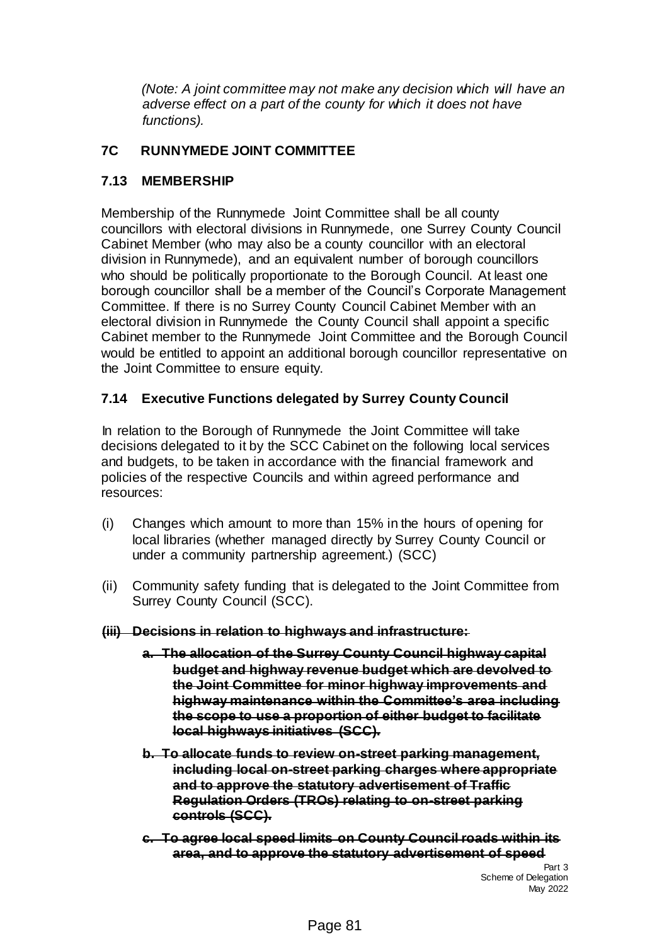*(Note: A joint committee may not make any decision which will have an adverse effect on a part of the county for which it does not have functions).*

## **7C RUNNYMEDE JOINT COMMITTEE**

## **7.13 MEMBERSHIP**

Membership of the Runnymede Joint Committee shall be all county councillors with electoral divisions in Runnymede, one Surrey County Council Cabinet Member (who may also be a county councillor with an electoral division in Runnymede), and an equivalent number of borough councillors who should be politically proportionate to the Borough Council. At least one borough councillor shall be a member of the Council's Corporate Management Committee. If there is no Surrey County Council Cabinet Member with an electoral division in Runnymede the County Council shall appoint a specific Cabinet member to the Runnymede Joint Committee and the Borough Council would be entitled to appoint an additional borough councillor representative on the Joint Committee to ensure equity.

# **7.14 Executive Functions delegated by Surrey County Council**

In relation to the Borough of Runnymede the Joint Committee will take decisions delegated to it by the SCC Cabinet on the following local services and budgets, to be taken in accordance with the financial framework and policies of the respective Councils and within agreed performance and resources:

- (i) Changes which amount to more than 15% in the hours of opening for local libraries (whether managed directly by Surrey County Council or under a community partnership agreement.) (SCC)
- (ii) Community safety funding that is delegated to the Joint Committee from Surrey County Council (SCC).
- **(iii) Decisions in relation to highways and infrastructure:**
	- **a. The allocation of the Surrey County Council highway capital budget and highway revenue budget which are devolved to the Joint Committee for minor highway improvements and highway maintenance within the Committee's area including the scope to use a proportion of either budget to facilitate local highways initiatives (SCC).**
	- **b. To allocate funds to review on-street parking management, including local on-street parking charges where appropriate and to approve the statutory advertisement of Traffic Regulation Orders (TROs) relating to on-street parking controls (SCC).**
	- **c. To agree local speed limits on County Council roads within its area, and to approve the statutory advertisement of speed**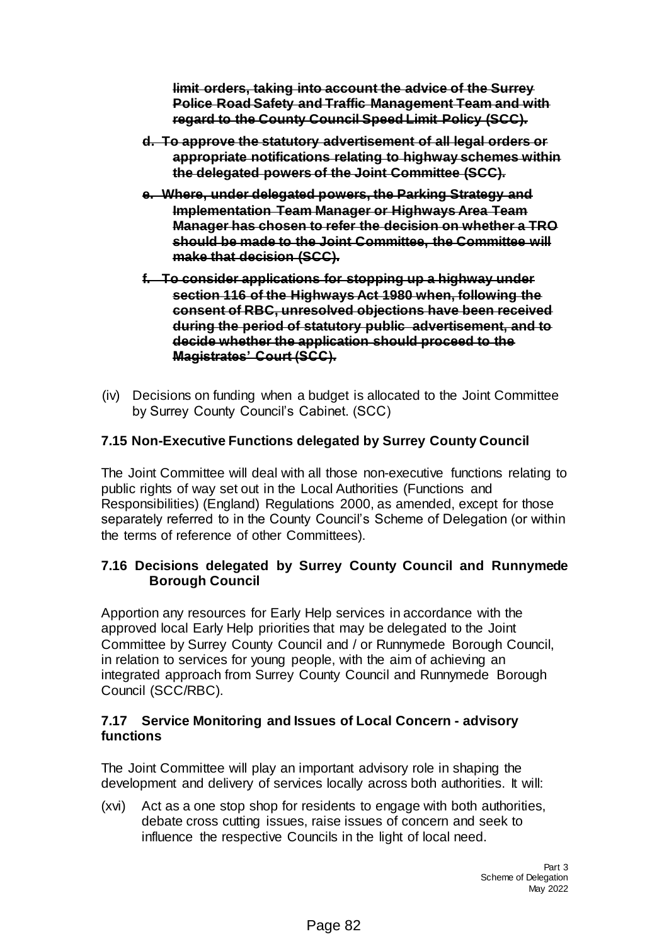**limit orders, taking into account the advice of the Surrey Police Road Safety and Traffic Management Team and with regard to the County Council Speed Limit Policy (SCC).**

- **d. To approve the statutory advertisement of all legal orders or appropriate notifications relating to highway schemes within the delegated powers of the Joint Committee (SCC).**
- **e. Where, under delegated powers, the Parking Strategy and Implementation Team Manager or Highways Area Team Manager has chosen to refer the decision on whether a TRO should be made to the Joint Committee, the Committee will make that decision (SCC).**
- **f. To consider applications for stopping up a highway under section 116 of the Highways Act 1980 when, following the consent of RBC, unresolved objections have been received during the period of statutory public advertisement, and to decide whether the application should proceed to the Magistrates' Court (SCC).**
- (iv) Decisions on funding when a budget is allocated to the Joint Committee by Surrey County Council's Cabinet. (SCC)

# **7.15 Non-Executive Functions delegated by Surrey County Council**

The Joint Committee will deal with all those non-executive functions relating to public rights of way set out in the Local Authorities (Functions and Responsibilities) (England) Regulations 2000, as amended, except for those separately referred to in the County Council's Scheme of Delegation (or within the terms of reference of other Committees).

## **7.16 Decisions delegated by Surrey County Council and Runnymede Borough Council**

Apportion any resources for Early Help services in accordance with the approved local Early Help priorities that may be delegated to the Joint Committee by Surrey County Council and / or Runnymede Borough Council, in relation to services for young people, with the aim of achieving an integrated approach from Surrey County Council and Runnymede Borough Council (SCC/RBC).

### **7.17 Service Monitoring and Issues of Local Concern - advisory functions**

The Joint Committee will play an important advisory role in shaping the development and delivery of services locally across both authorities. It will:

(xvi) Act as a one stop shop for residents to engage with both authorities, debate cross cutting issues, raise issues of concern and seek to influence the respective Councils in the light of local need.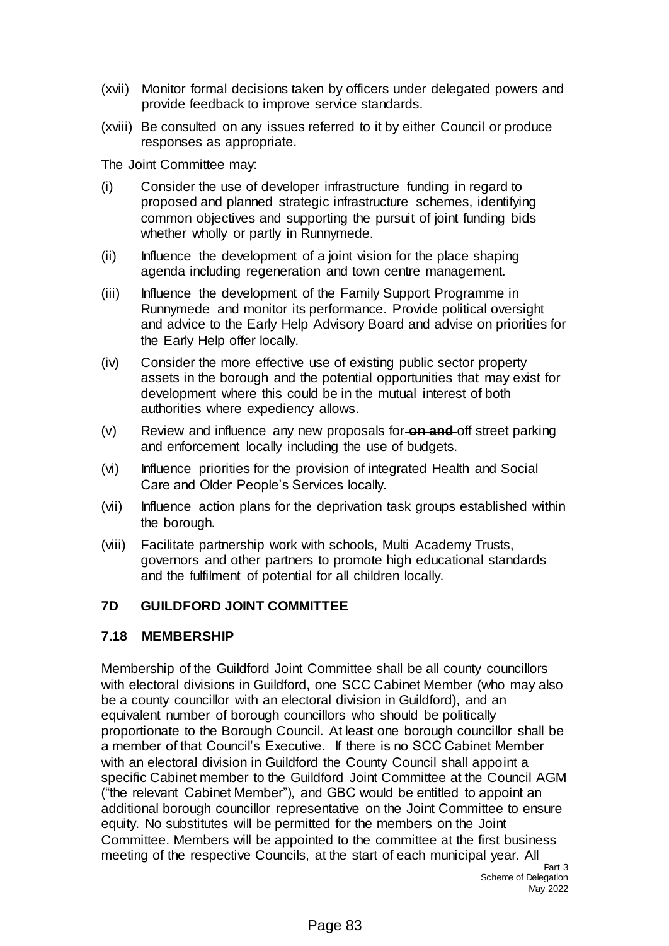- (xvii) Monitor formal decisions taken by officers under delegated powers and provide feedback to improve service standards.
- (xviii) Be consulted on any issues referred to it by either Council or produce responses as appropriate.

The Joint Committee may:

- (i) Consider the use of developer infrastructure funding in regard to proposed and planned strategic infrastructure schemes, identifying common objectives and supporting the pursuit of joint funding bids whether wholly or partly in Runnymede.
- (ii) Influence the development of a joint vision for the place shaping agenda including regeneration and town centre management.
- (iii) Influence the development of the Family Support Programme in Runnymede and monitor its performance. Provide political oversight and advice to the Early Help Advisory Board and advise on priorities for the Early Help offer locally.
- (iv) Consider the more effective use of existing public sector property assets in the borough and the potential opportunities that may exist for development where this could be in the mutual interest of both authorities where expediency allows.
- (v) Review and influence any new proposals for **on and** off street parking and enforcement locally including the use of budgets.
- (vi) Influence priorities for the provision of integrated Health and Social Care and Older People's Services locally.
- (vii) Influence action plans for the deprivation task groups established within the borough.
- (viii) Facilitate partnership work with schools, Multi Academy Trusts, governors and other partners to promote high educational standards and the fulfilment of potential for all children locally.

### **7D GUILDFORD JOINT COMMITTEE**

### **7.18 MEMBERSHIP**

Membership of the Guildford Joint Committee shall be all county councillors with electoral divisions in Guildford, one SCC Cabinet Member (who may also be a county councillor with an electoral division in Guildford), and an equivalent number of borough councillors who should be politically proportionate to the Borough Council. At least one borough councillor shall be a member of that Council's Executive. If there is no SCC Cabinet Member with an electoral division in Guildford the County Council shall appoint a specific Cabinet member to the Guildford Joint Committee at the Council AGM ("the relevant Cabinet Member"), and GBC would be entitled to appoint an additional borough councillor representative on the Joint Committee to ensure equity. No substitutes will be permitted for the members on the Joint Committee. Members will be appointed to the committee at the first business meeting of the respective Councils, at the start of each municipal year. All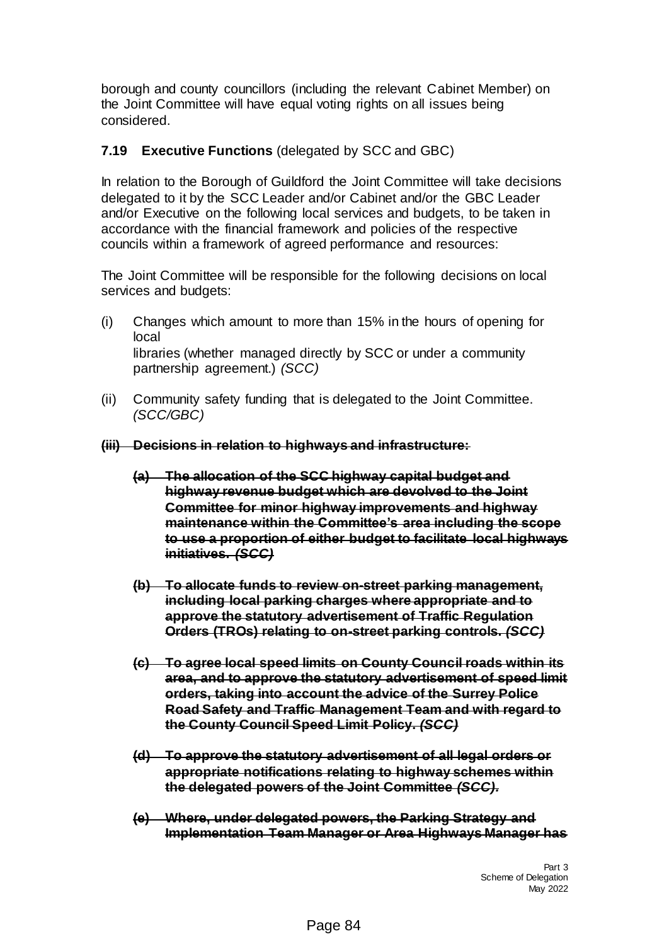borough and county councillors (including the relevant Cabinet Member) on the Joint Committee will have equal voting rights on all issues being considered.

### **7.19 Executive Functions** (delegated by SCC and GBC)

In relation to the Borough of Guildford the Joint Committee will take decisions delegated to it by the SCC Leader and/or Cabinet and/or the GBC Leader and/or Executive on the following local services and budgets, to be taken in accordance with the financial framework and policies of the respective councils within a framework of agreed performance and resources:

The Joint Committee will be responsible for the following decisions on local services and budgets:

- (i) Changes which amount to more than 15% in the hours of opening for local libraries (whether managed directly by SCC or under a community partnership agreement.) *(SCC)*
- (ii) Community safety funding that is delegated to the Joint Committee. *(SCC/GBC)*
- **(iii) Decisions in relation to highways and infrastructure:**
	- **(a) The allocation of the SCC highway capital budget and highway revenue budget which are devolved to the Joint Committee for minor highway improvements and highway maintenance within the Committee's area including the scope to use a proportion of either budget to facilitate local highways initiatives.** *(SCC)*
	- **(b) To allocate funds to review on-street parking management, including local parking charges where appropriate and to approve the statutory advertisement of Traffic Regulation Orders (TROs) relating to on-street parking controls.** *(SCC)*
	- **(c) To agree local speed limits on County Council roads within its area, and to approve the statutory advertisement of speed limit orders, taking into account the advice of the Surrey Police Road Safety and Traffic Management Team and with regard to the County Council Speed Limit Policy.** *(SCC)*
	- **(d) To approve the statutory advertisement of all legal orders or appropriate notifications relating to highway schemes within the delegated powers of the Joint Committee** *(SCC).*
	- **(e) Where, under delegated powers, the Parking Strategy and Implementation Team Manager or Area Highways Manager has**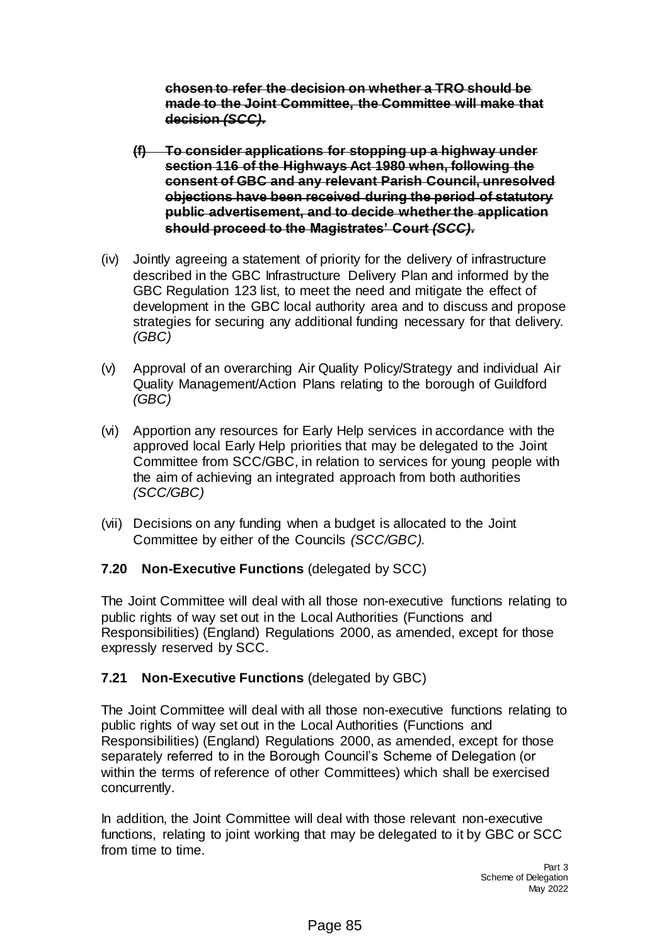**chosen to refer the decision on whether a TRO should be made to the Joint Committee, the Committee will make that decision** *(SCC).*

- **(f) To consider applications for stopping up a highway under section 116 of the Highways Act 1980 when, following the consent of GBC and any relevant Parish Council, unresolved objections have been received during the period of statutory public advertisement, and to decide whether the application should proceed to the Magistrates' Court** *(SCC).*
- (iv) Jointly agreeing a statement of priority for the delivery of infrastructure described in the GBC Infrastructure Delivery Plan and informed by the GBC Regulation 123 list, to meet the need and mitigate the effect of development in the GBC local authority area and to discuss and propose strategies for securing any additional funding necessary for that delivery. *(GBC)*
- (v) Approval of an overarching Air Quality Policy/Strategy and individual Air Quality Management/Action Plans relating to the borough of Guildford *(GBC)*
- (vi) Apportion any resources for Early Help services in accordance with the approved local Early Help priorities that may be delegated to the Joint Committee from SCC/GBC, in relation to services for young people with the aim of achieving an integrated approach from both authorities *(SCC/GBC)*
- (vii) Decisions on any funding when a budget is allocated to the Joint Committee by either of the Councils *(SCC/GBC).*

## **7.20 Non-Executive Functions** (delegated by SCC)

The Joint Committee will deal with all those non-executive functions relating to public rights of way set out in the Local Authorities (Functions and Responsibilities) (England) Regulations 2000, as amended, except for those expressly reserved by SCC.

## **7.21 Non-Executive Functions** (delegated by GBC)

The Joint Committee will deal with all those non-executive functions relating to public rights of way set out in the Local Authorities (Functions and Responsibilities) (England) Regulations 2000, as amended, except for those separately referred to in the Borough Council's Scheme of Delegation (or within the terms of reference of other Committees) which shall be exercised concurrently.

In addition, the Joint Committee will deal with those relevant non-executive functions, relating to joint working that may be delegated to it by GBC or SCC from time to time.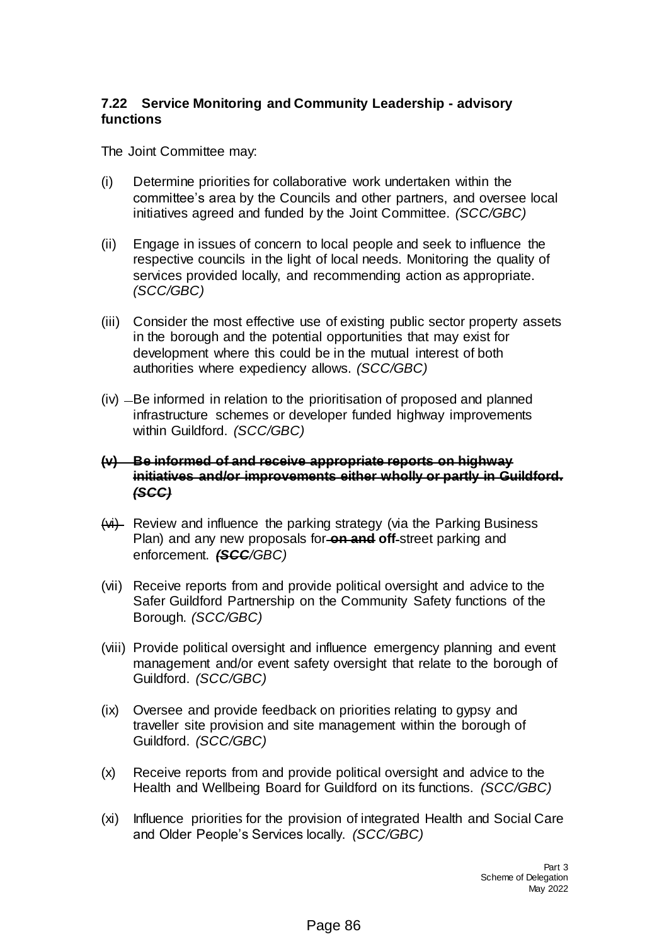## **7.22 Service Monitoring and Community Leadership - advisory functions**

The Joint Committee may:

- (i) Determine priorities for collaborative work undertaken within the committee's area by the Councils and other partners, and oversee local initiatives agreed and funded by the Joint Committee. *(SCC/GBC)*
- (ii) Engage in issues of concern to local people and seek to influence the respective councils in the light of local needs. Monitoring the quality of services provided locally, and recommending action as appropriate. *(SCC/GBC)*
- (iii) Consider the most effective use of existing public sector property assets in the borough and the potential opportunities that may exist for development where this could be in the mutual interest of both authorities where expediency allows. *(SCC/GBC)*
- $(iv)$   $-Be$  informed in relation to the prioritisation of proposed and planned infrastructure schemes or developer funded highway improvements within Guildford. *(SCC/GBC)*

### **(v) Be informed of and receive appropriate reports on highway initiatives and/or improvements either wholly or partly in Guildford.**  *(SCC)*

- $(vi)$  Review and influence the parking strategy (via the Parking Business Plan) and any new proposals for **on and off** street parking and enforcement. *(SCC/GBC)*
- (vii) Receive reports from and provide political oversight and advice to the Safer Guildford Partnership on the Community Safety functions of the Borough. *(SCC/GBC)*
- (viii) Provide political oversight and influence emergency planning and event management and/or event safety oversight that relate to the borough of Guildford. *(SCC/GBC)*
- (ix) Oversee and provide feedback on priorities relating to gypsy and traveller site provision and site management within the borough of Guildford. *(SCC/GBC)*
- (x) Receive reports from and provide political oversight and advice to the Health and Wellbeing Board for Guildford on its functions. *(SCC/GBC)*
- (xi) Influence priorities for the provision of integrated Health and Social Care and Older People's Services locally. *(SCC/GBC)*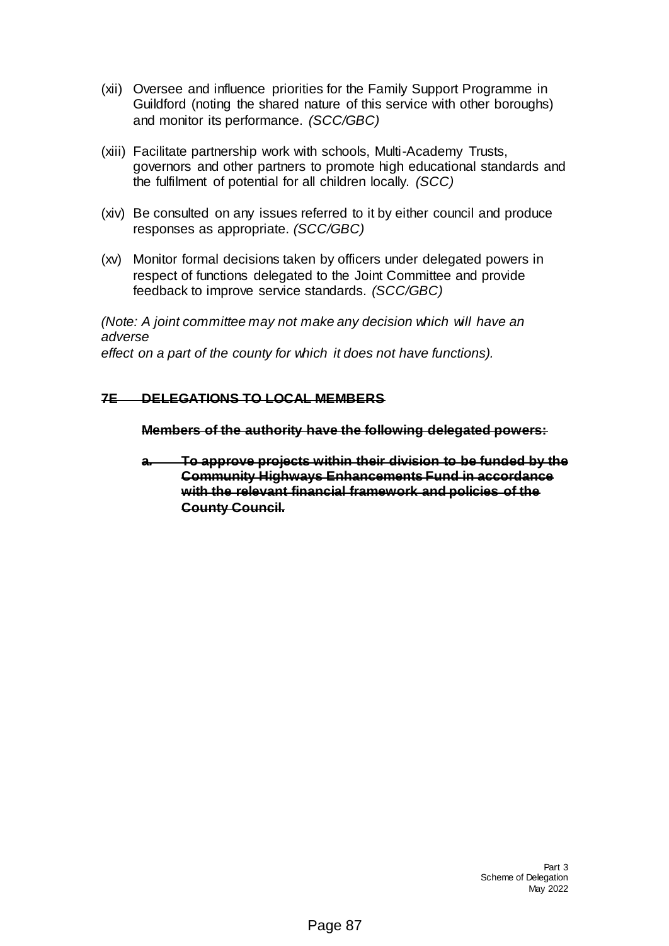- (xii) Oversee and influence priorities for the Family Support Programme in Guildford (noting the shared nature of this service with other boroughs) and monitor its performance. *(SCC/GBC)*
- (xiii) Facilitate partnership work with schools, Multi-Academy Trusts, governors and other partners to promote high educational standards and the fulfilment of potential for all children locally. *(SCC)*
- (xiv) Be consulted on any issues referred to it by either council and produce responses as appropriate. *(SCC/GBC)*
- (xv) Monitor formal decisions taken by officers under delegated powers in respect of functions delegated to the Joint Committee and provide feedback to improve service standards. *(SCC/GBC)*

*(Note: A joint committee may not make any decision which will have an adverse*

*effect on a part of the county for which it does not have functions).*

## **7E DELEGATIONS TO LOCAL MEMBERS**

**Members of the authority have the following delegated powers:**

**a***.* **To approve projects within their division to be funded by the Community Highways Enhancements Fund in accordance with the relevant financial framework and policies of the County Council.**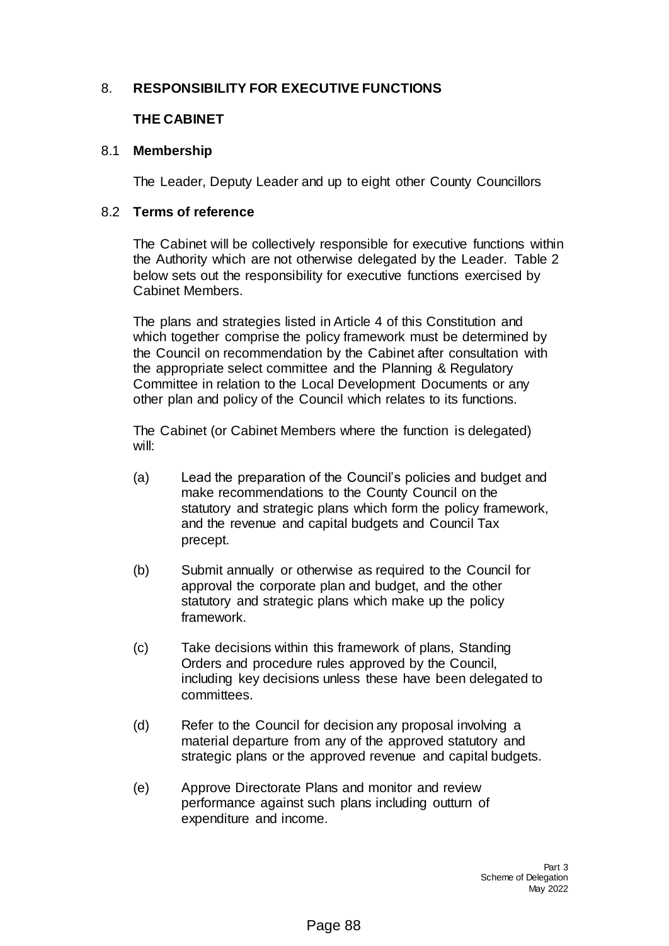### 8. **RESPONSIBILITY FOR EXECUTIVE FUNCTIONS**

### **THE CABINET**

#### 8.1 **Membership**

The Leader, Deputy Leader and up to eight other County Councillors

#### 8.2 **Terms of reference**

The Cabinet will be collectively responsible for executive functions within the Authority which are not otherwise delegated by the Leader. Table 2 below sets out the responsibility for executive functions exercised by Cabinet Members.

The plans and strategies listed in Article 4 of this Constitution and which together comprise the policy framework must be determined by the Council on recommendation by the Cabinet after consultation with the appropriate select committee and the Planning & Regulatory Committee in relation to the Local Development Documents or any other plan and policy of the Council which relates to its functions.

The Cabinet (or Cabinet Members where the function is delegated) will:

- (a) Lead the preparation of the Council's policies and budget and make recommendations to the County Council on the statutory and strategic plans which form the policy framework, and the revenue and capital budgets and Council Tax precept.
- (b) Submit annually or otherwise as required to the Council for approval the corporate plan and budget, and the other statutory and strategic plans which make up the policy framework.
- (c) Take decisions within this framework of plans, Standing Orders and procedure rules approved by the Council, including key decisions unless these have been delegated to committees.
- (d) Refer to the Council for decision any proposal involving a material departure from any of the approved statutory and strategic plans or the approved revenue and capital budgets.
- (e) Approve Directorate Plans and monitor and review performance against such plans including outturn of expenditure and income.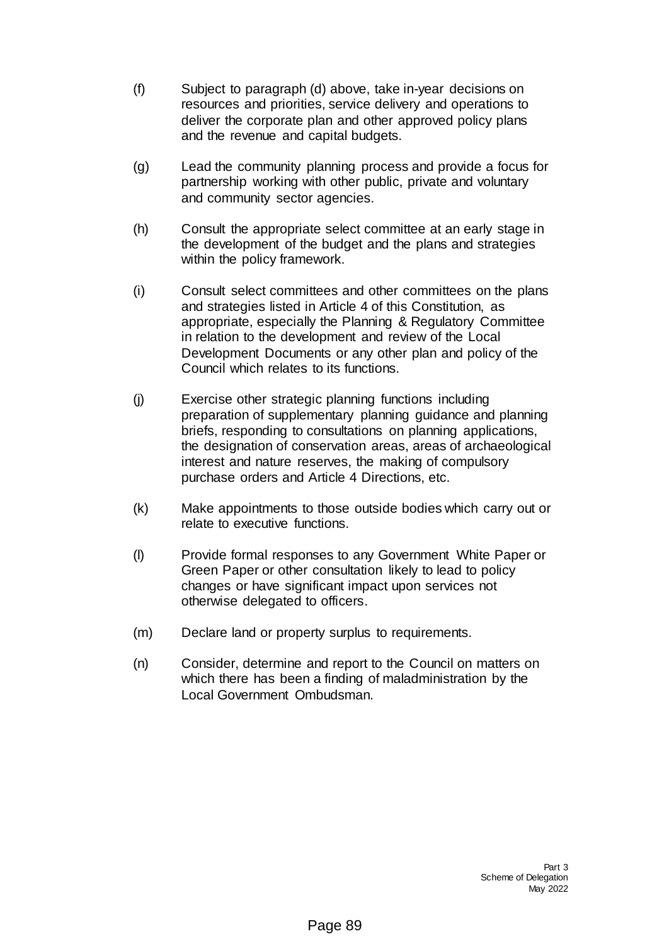- (f) Subject to paragraph (d) above, take in-year decisions on resources and priorities, service delivery and operations to deliver the corporate plan and other approved policy plans and the revenue and capital budgets.
- (g) Lead the community planning process and provide a focus for partnership working with other public, private and voluntary and community sector agencies.
- (h) Consult the appropriate select committee at an early stage in the development of the budget and the plans and strategies within the policy framework.
- (i) Consult select committees and other committees on the plans and strategies listed in Article 4 of this Constitution, as appropriate, especially the Planning & Regulatory Committee in relation to the development and review of the Local Development Documents or any other plan and policy of the Council which relates to its functions.
- (j) Exercise other strategic planning functions including preparation of supplementary planning guidance and planning briefs, responding to consultations on planning applications, the designation of conservation areas, areas of archaeological interest and nature reserves, the making of compulsory purchase orders and Article 4 Directions, etc.
- (k) Make appointments to those outside bodies which carry out or relate to executive functions.
- (l) Provide formal responses to any Government White Paper or Green Paper or other consultation likely to lead to policy changes or have significant impact upon services not otherwise delegated to officers.
- (m) Declare land or property surplus to requirements.
- (n) Consider, determine and report to the Council on matters on which there has been a finding of maladministration by the Local Government Ombudsman.

Part 3 Scheme of Delegation May 2022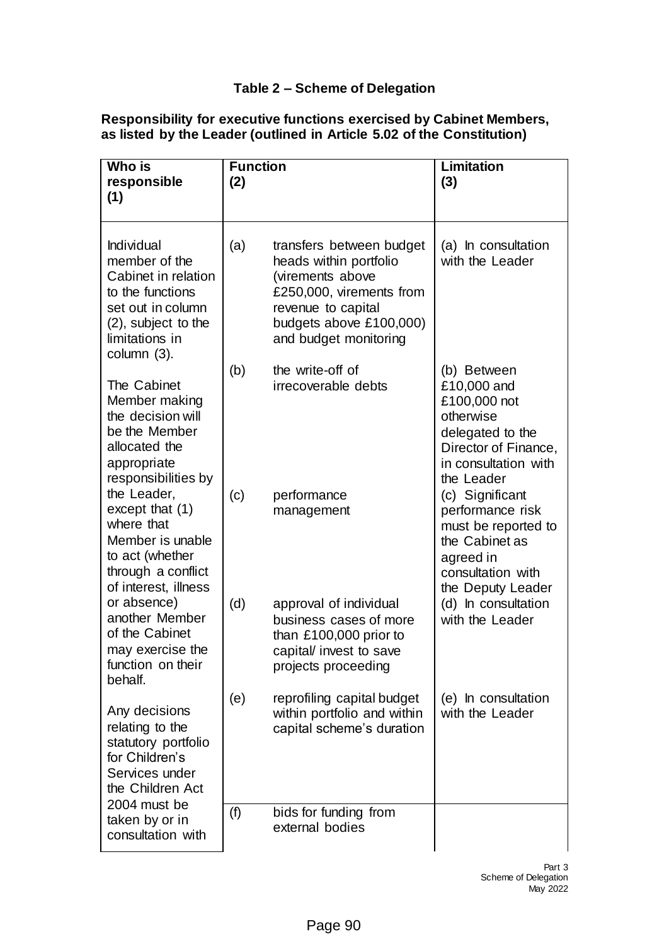## **Table 2 – Scheme of Delegation**

## **Responsibility for executive functions exercised by Cabinet Members, as listed by the Leader (outlined in Article 5.02 of the Constitution)**

| Who is<br>responsible<br>(1)                                                                                                                        | <b>Function</b><br>(2) |                                                                                                                                                                              | <b>Limitation</b><br>(3)                                                                                                                  |
|-----------------------------------------------------------------------------------------------------------------------------------------------------|------------------------|------------------------------------------------------------------------------------------------------------------------------------------------------------------------------|-------------------------------------------------------------------------------------------------------------------------------------------|
| Individual<br>member of the<br>Cabinet in relation<br>to the functions<br>set out in column<br>(2), subject to the<br>limitations in<br>column (3). | (a)                    | transfers between budget<br>heads within portfolio<br>(virements above<br>£250,000, virements from<br>revenue to capital<br>budgets above £100,000)<br>and budget monitoring | (a) In consultation<br>with the Leader                                                                                                    |
| The Cabinet<br>Member making<br>the decision will<br>be the Member<br>allocated the<br>appropriate<br>responsibilities by                           | (b)                    | the write-off of<br>irrecoverable debts                                                                                                                                      | (b) Between<br>£10,000 and<br>£100,000 not<br>otherwise<br>delegated to the<br>Director of Finance,<br>in consultation with<br>the Leader |
| the Leader,<br>except that $(1)$<br>where that<br>Member is unable<br>to act (whether<br>through a conflict<br>of interest, illness                 | (c)                    | performance<br>management                                                                                                                                                    | (c) Significant<br>performance risk<br>must be reported to<br>the Cabinet as<br>agreed in<br>consultation with<br>the Deputy Leader       |
| or absence)<br>another Member<br>of the Cabinet<br>may exercise the<br>function on their<br>behalf.                                                 | (d)                    | approval of individual<br>business cases of more<br>than £100,000 prior to<br>capital/ invest to save<br>projects proceeding                                                 | (d) In consultation<br>with the Leader                                                                                                    |
| Any decisions<br>relating to the<br>statutory portfolio<br>for Children's<br>Services under<br>the Children Act                                     | (e)                    | reprofiling capital budget<br>within portfolio and within<br>capital scheme's duration                                                                                       | (e) In consultation<br>with the Leader                                                                                                    |
| 2004 must be<br>taken by or in<br>consultation with                                                                                                 | (f)                    | bids for funding from<br>external bodies                                                                                                                                     |                                                                                                                                           |

Part 3 Scheme of Delegation May 2022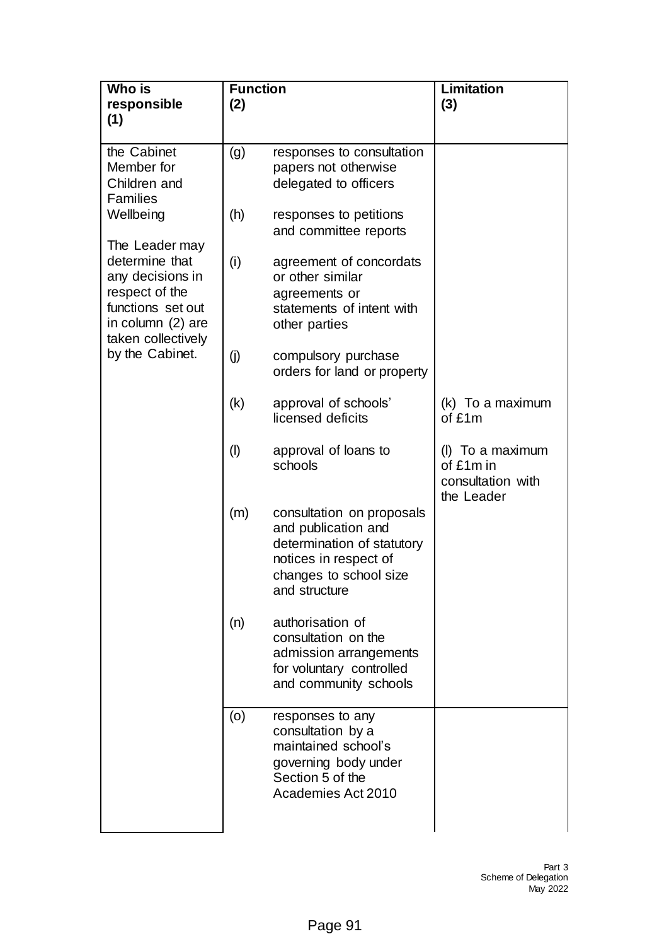| Who is<br>responsible                                                                                                                  | <b>Function</b><br>(2) |                                                                                                                                                    | <b>Limitation</b><br>(3)                                         |
|----------------------------------------------------------------------------------------------------------------------------------------|------------------------|----------------------------------------------------------------------------------------------------------------------------------------------------|------------------------------------------------------------------|
| (1)                                                                                                                                    |                        |                                                                                                                                                    |                                                                  |
| the Cabinet<br>Member for<br>Children and<br><b>Families</b>                                                                           | (g)                    | responses to consultation<br>papers not otherwise<br>delegated to officers                                                                         |                                                                  |
| Wellbeing                                                                                                                              | (h)                    | responses to petitions<br>and committee reports                                                                                                    |                                                                  |
| The Leader may<br>determine that<br>any decisions in<br>respect of the<br>functions set out<br>in column (2) are<br>taken collectively | (i)                    | agreement of concordats<br>or other similar<br>agreements or<br>statements of intent with<br>other parties                                         |                                                                  |
| by the Cabinet.                                                                                                                        | (j)                    | compulsory purchase<br>orders for land or property                                                                                                 |                                                                  |
|                                                                                                                                        | (k)                    | approval of schools'<br>licensed deficits                                                                                                          | (k) To a maximum<br>of £1m                                       |
|                                                                                                                                        | $($ l $)$              | approval of loans to<br>schools                                                                                                                    | (I) To a maximum<br>of £1m in<br>consultation with<br>the Leader |
|                                                                                                                                        | (m)                    | consultation on proposals<br>and publication and<br>determination of statutory<br>notices in respect of<br>changes to school size<br>and structure |                                                                  |
|                                                                                                                                        | (n)                    | authorisation of<br>consultation on the<br>admission arrangements<br>for voluntary controlled<br>and community schools                             |                                                                  |
|                                                                                                                                        | (0)                    | responses to any<br>consultation by a<br>maintained school's<br>governing body under<br>Section 5 of the<br>Academies Act 2010                     |                                                                  |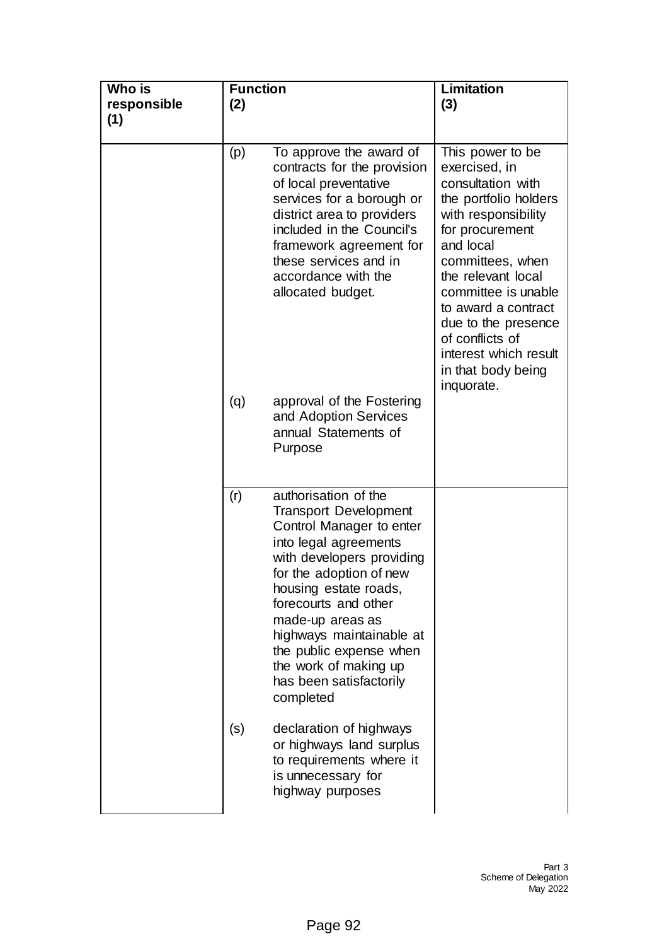| Who is<br>responsible<br>(1) | <b>Function</b><br>(2) |                                                                                                                                                                                                                                                                                                                                                                | Limitation<br>(3)                                                                                                                                                                                                                                                                                                                     |
|------------------------------|------------------------|----------------------------------------------------------------------------------------------------------------------------------------------------------------------------------------------------------------------------------------------------------------------------------------------------------------------------------------------------------------|---------------------------------------------------------------------------------------------------------------------------------------------------------------------------------------------------------------------------------------------------------------------------------------------------------------------------------------|
|                              | (p)                    | To approve the award of<br>contracts for the provision<br>of local preventative<br>services for a borough or<br>district area to providers<br>included in the Council's<br>framework agreement for<br>these services and in<br>accordance with the<br>allocated budget.                                                                                        | This power to be<br>exercised, in<br>consultation with<br>the portfolio holders<br>with responsibility<br>for procurement<br>and local<br>committees, when<br>the relevant local<br>committee is unable<br>to award a contract<br>due to the presence<br>of conflicts of<br>interest which result<br>in that body being<br>inquorate. |
|                              | (q)                    | approval of the Fostering<br>and Adoption Services<br>annual Statements of<br>Purpose                                                                                                                                                                                                                                                                          |                                                                                                                                                                                                                                                                                                                                       |
|                              | (r)                    | authorisation of the<br><b>Transport Development</b><br>Control Manager to enter<br>into legal agreements<br>with developers providing<br>for the adoption of new<br>housing estate roads,<br>forecourts and other<br>made-up areas as<br>highways maintainable at<br>the public expense when<br>the work of making up<br>has been satisfactorily<br>completed |                                                                                                                                                                                                                                                                                                                                       |
|                              | (s)                    | declaration of highways<br>or highways land surplus<br>to requirements where it<br>is unnecessary for<br>highway purposes                                                                                                                                                                                                                                      |                                                                                                                                                                                                                                                                                                                                       |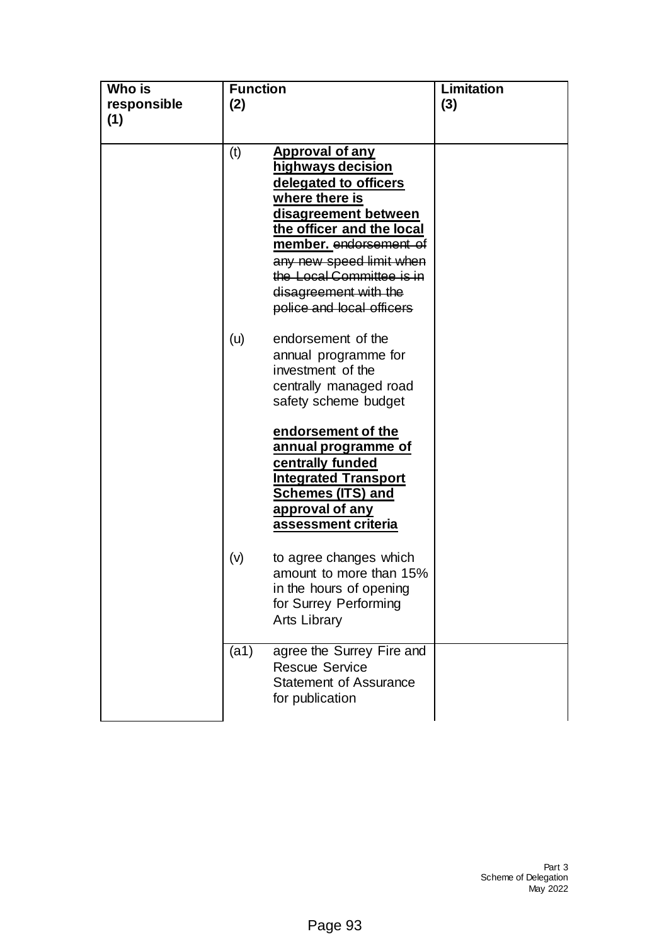| Who is<br>responsible<br>(1) | <b>Function</b><br>(2) |                                                                                                                                                                                                                                                                                      | <b>Limitation</b><br>(3) |
|------------------------------|------------------------|--------------------------------------------------------------------------------------------------------------------------------------------------------------------------------------------------------------------------------------------------------------------------------------|--------------------------|
|                              | (t)                    | <b>Approval of any</b><br>highways decision<br>delegated to officers<br>where there is<br>disagreement between<br>the officer and the local<br>member. endorsement of<br>any new speed limit when<br>the Local Committee is in<br>disagreement with the<br>police and local officers |                          |
|                              | (u)                    | endorsement of the<br>annual programme for<br>investment of the<br>centrally managed road<br>safety scheme budget                                                                                                                                                                    |                          |
|                              |                        | endorsement of the<br><u>annual programme of</u><br>centrally funded<br><b>Integrated Transport</b><br><b>Schemes (ITS) and</b><br>approval of any<br>assessment criteria                                                                                                            |                          |
|                              | (v)                    | to agree changes which<br>amount to more than 15%<br>in the hours of opening<br>for Surrey Performing<br><b>Arts Library</b>                                                                                                                                                         |                          |
|                              | (a1)                   | agree the Surrey Fire and<br><b>Rescue Service</b><br><b>Statement of Assurance</b><br>for publication                                                                                                                                                                               |                          |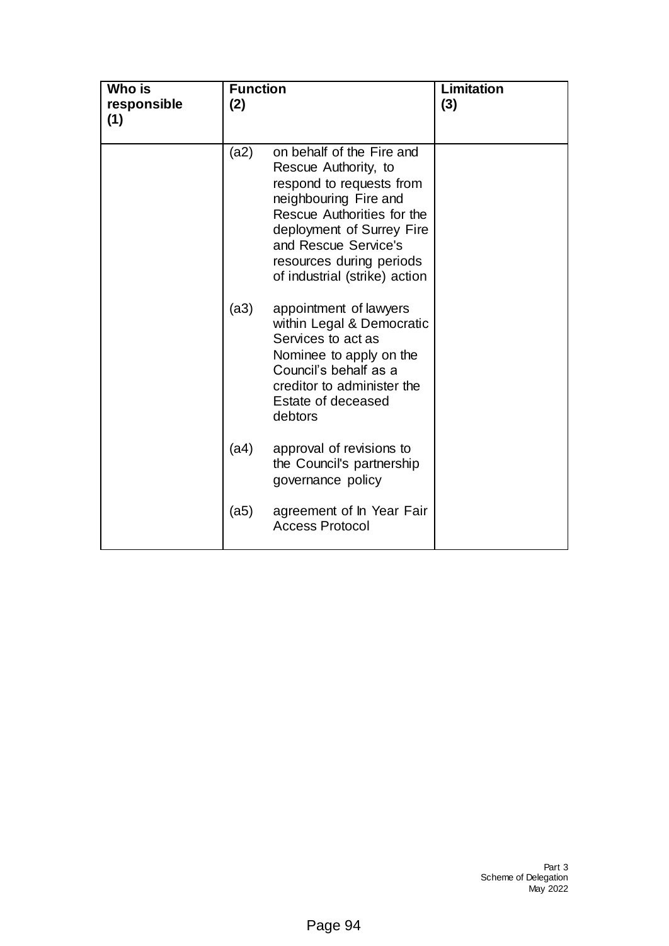| Who is<br>responsible<br>(1) | <b>Function</b><br>(2) |                                                                                                                                                                                                                                                        | Limitation<br>(3) |
|------------------------------|------------------------|--------------------------------------------------------------------------------------------------------------------------------------------------------------------------------------------------------------------------------------------------------|-------------------|
|                              | (a2)                   | on behalf of the Fire and<br>Rescue Authority, to<br>respond to requests from<br>neighbouring Fire and<br>Rescue Authorities for the<br>deployment of Surrey Fire<br>and Rescue Service's<br>resources during periods<br>of industrial (strike) action |                   |
|                              | (a3)                   | appointment of lawyers<br>within Legal & Democratic<br>Services to act as<br>Nominee to apply on the<br>Council's behalf as a<br>creditor to administer the<br>Estate of deceased<br>debtors                                                           |                   |
|                              | (a4)                   | approval of revisions to<br>the Council's partnership<br>governance policy                                                                                                                                                                             |                   |
|                              | (a5)                   | agreement of In Year Fair<br><b>Access Protocol</b>                                                                                                                                                                                                    |                   |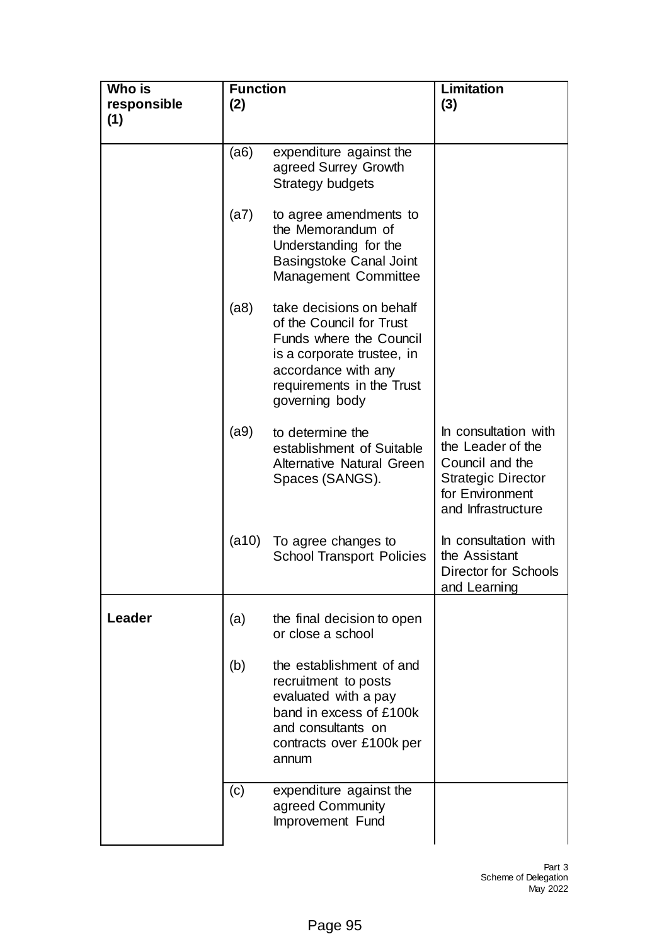| Who is<br>responsible<br>(1) | <b>Function</b><br>(2) |                                                                                                                                                                                     | <b>Limitation</b><br>(3)                                                                                                           |
|------------------------------|------------------------|-------------------------------------------------------------------------------------------------------------------------------------------------------------------------------------|------------------------------------------------------------------------------------------------------------------------------------|
|                              | (a6)                   | expenditure against the<br>agreed Surrey Growth<br>Strategy budgets                                                                                                                 |                                                                                                                                    |
|                              | (a7)                   | to agree amendments to<br>the Memorandum of<br>Understanding for the<br><b>Basingstoke Canal Joint</b><br>Management Committee                                                      |                                                                                                                                    |
|                              | (a8)                   | take decisions on behalf<br>of the Council for Trust<br>Funds where the Council<br>is a corporate trustee, in<br>accordance with any<br>requirements in the Trust<br>governing body |                                                                                                                                    |
|                              | (a9)                   | to determine the<br>establishment of Suitable<br><b>Alternative Natural Green</b><br>Spaces (SANGS).                                                                                | In consultation with<br>the Leader of the<br>Council and the<br><b>Strategic Director</b><br>for Environment<br>and Infrastructure |
|                              | (a10)                  | To agree changes to<br><b>School Transport Policies</b>                                                                                                                             | In consultation with<br>the Assistant<br><b>Director for Schools</b><br>and Learning                                               |
| Leader                       | (a)                    | the final decision to open<br>or close a school                                                                                                                                     |                                                                                                                                    |
|                              | (b)                    | the establishment of and<br>recruitment to posts<br>evaluated with a pay<br>band in excess of £100k<br>and consultants on<br>contracts over £100k per<br>annum                      |                                                                                                                                    |
|                              | (c)                    | expenditure against the<br>agreed Community<br>Improvement Fund                                                                                                                     |                                                                                                                                    |